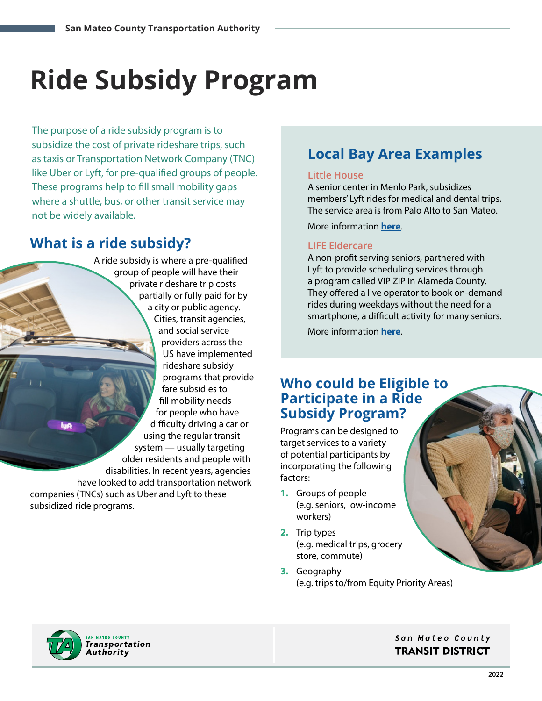# **Ride Subsidy Program**

The purpose of a ride subsidy program is to subsidize the cost of private rideshare trips, such as taxis or Transportation Network Company (TNC) like Uber or Lyft, for pre-qualified groups of people. These programs help to fill small mobility gaps where a shuttle, bus, or other transit service may not be widely available.

## **What is a ride subsidy?**

A ride subsidy is where a pre-qualified group of people will have their private rideshare trip costs partially or fully paid for by a city or public agency. Cities, transit agencies, and social service providers across the US have implemented rideshare subsidy programs that provide fare subsidies to fill mobility needs for people who have difficulty driving a car or using the regular transit system — usually targeting older residents and people with disabilities. In recent years, agencies have looked to add transportation network companies (TNCs) such as Uber and Lyft to these subsidized ride programs.

## **Local Bay Area Examples**

#### **Little House**

A senior center in Menlo Park, subsidizes members' Lyft rides for medical and dental trips. The service area is from Palo Alto to San Mateo.

More information **[here](https://www.penvol.org/littlehouse/transportation/)**.

#### **LIFE Eldercare**

A non-profit serving seniors, partnered with Lyft to provide scheduling services through a program called VIP ZIP in Alameda County. They offered a live operator to book on-demand rides during weekdays without the need for a smartphone, a difficult activity for many seniors.

More information **[here](https://www.postnewsgroup.com/life-eldercare-launches-ridesharing-pilot-alameda-county-seniors/)**.

### **Who could be Eligible to Participate in a Ride Subsidy Program?**

Programs can be designed to target services to a variety of potential participants by incorporating the following factors:

- **1.** Groups of people (e.g. seniors, low-income workers)
- **2.** Trip types (e.g. medical trips, grocery store, commute)
- **3.** Geography (e.g. trips to/from Equity Priority Areas)



#### San Mateo County **TRANSIT DISTRICT**